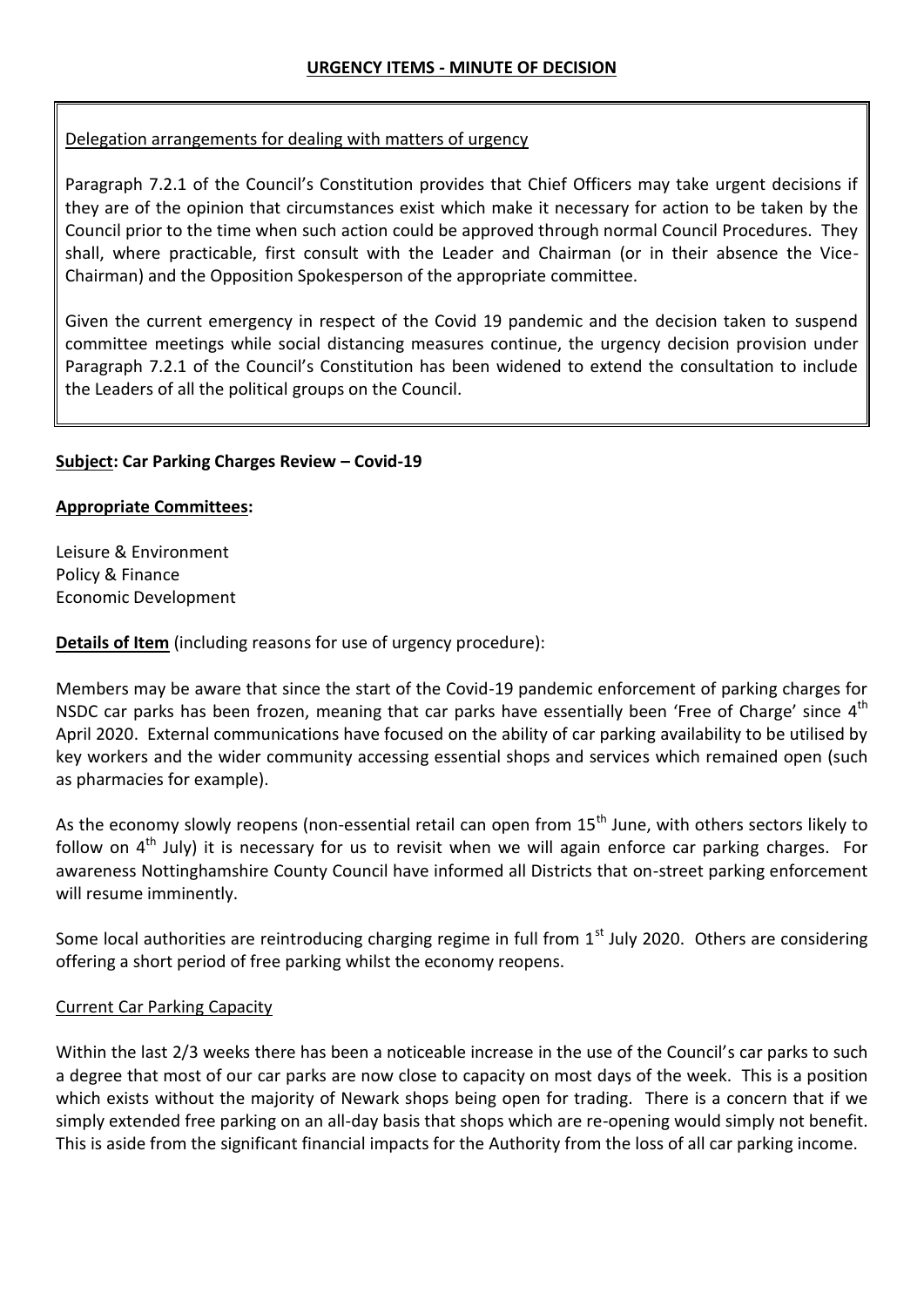# Delegation arrangements for dealing with matters of urgency

Paragraph 7.2.1 of the Council's Constitution provides that Chief Officers may take urgent decisions if they are of the opinion that circumstances exist which make it necessary for action to be taken by the Council prior to the time when such action could be approved through normal Council Procedures. They shall, where practicable, first consult with the Leader and Chairman (or in their absence the Vice-Chairman) and the Opposition Spokesperson of the appropriate committee.

Given the current emergency in respect of the Covid 19 pandemic and the decision taken to suspend committee meetings while social distancing measures continue, the urgency decision provision under Paragraph 7.2.1 of the Council's Constitution has been widened to extend the consultation to include the Leaders of all the political groups on the Council.

## **Subject: Car Parking Charges Review – Covid-19**

## **Appropriate Committees:**

Leisure & Environment Policy & Finance Economic Development

**Details of Item** (including reasons for use of urgency procedure):

Members may be aware that since the start of the Covid-19 pandemic enforcement of parking charges for NSDC car parks has been frozen, meaning that car parks have essentially been 'Free of Charge' since  $4^{\text{th}}$ April 2020. External communications have focused on the ability of car parking availability to be utilised by key workers and the wider community accessing essential shops and services which remained open (such as pharmacies for example).

As the economy slowly reopens (non-essential retail can open from 15<sup>th</sup> June, with others sectors likely to follow on  $4<sup>th</sup>$  July) it is necessary for us to revisit when we will again enforce car parking charges. For awareness Nottinghamshire County Council have informed all Districts that on-street parking enforcement will resume imminently.

Some local authorities are reintroducing charging regime in full from  $1<sup>st</sup>$  July 2020. Others are considering offering a short period of free parking whilst the economy reopens.

## Current Car Parking Capacity

Within the last 2/3 weeks there has been a noticeable increase in the use of the Council's car parks to such a degree that most of our car parks are now close to capacity on most days of the week. This is a position which exists without the majority of Newark shops being open for trading. There is a concern that if we simply extended free parking on an all-day basis that shops which are re-opening would simply not benefit. This is aside from the significant financial impacts for the Authority from the loss of all car parking income.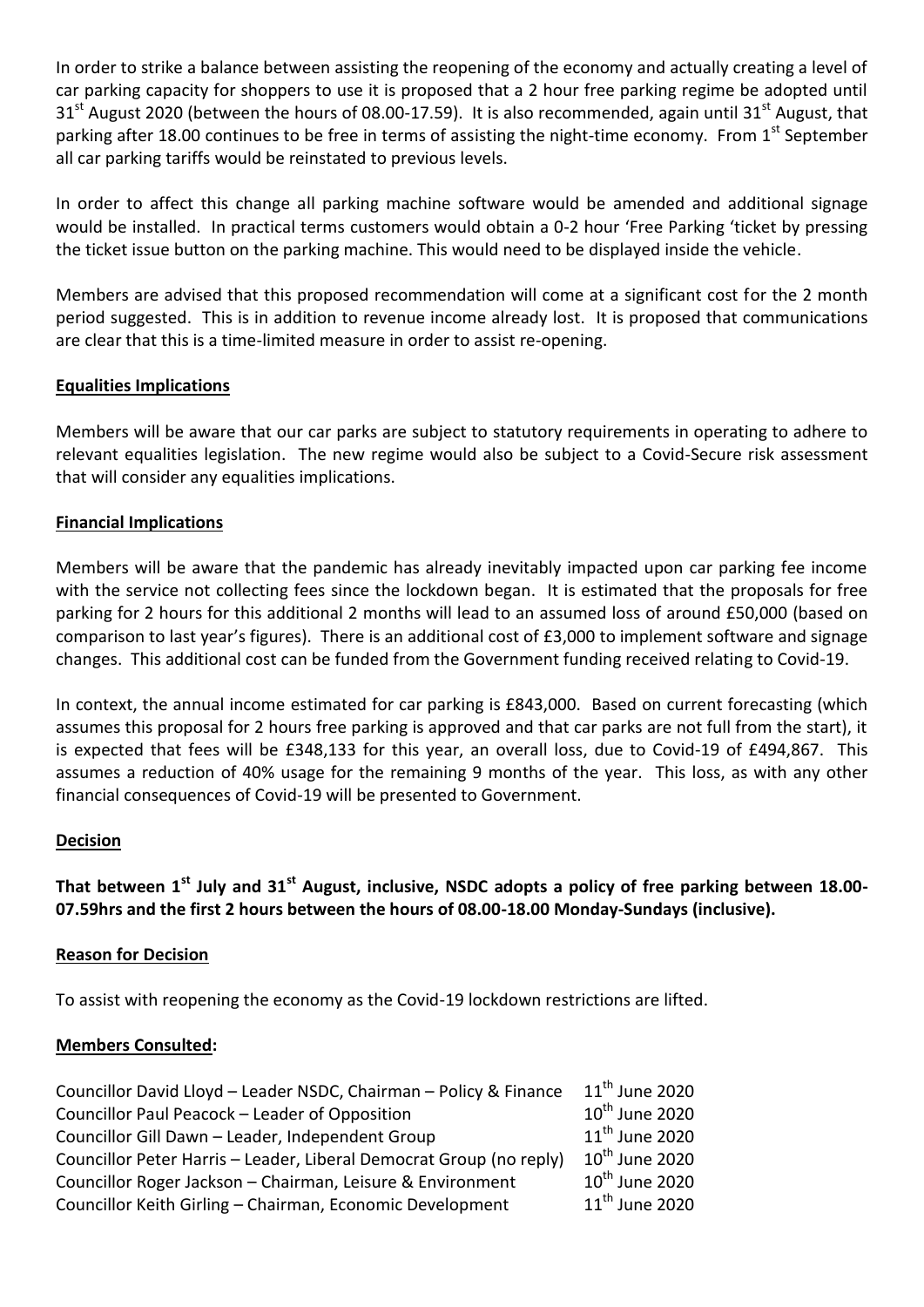In order to strike a balance between assisting the reopening of the economy and actually creating a level of car parking capacity for shoppers to use it is proposed that a 2 hour free parking regime be adopted until  $31<sup>st</sup>$  August 2020 (between the hours of 08.00-17.59). It is also recommended, again until 31<sup>st</sup> August, that parking after 18.00 continues to be free in terms of assisting the night-time economy. From 1<sup>st</sup> September all car parking tariffs would be reinstated to previous levels.

In order to affect this change all parking machine software would be amended and additional signage would be installed. In practical terms customers would obtain a 0-2 hour 'Free Parking 'ticket by pressing the ticket issue button on the parking machine. This would need to be displayed inside the vehicle.

Members are advised that this proposed recommendation will come at a significant cost for the 2 month period suggested. This is in addition to revenue income already lost. It is proposed that communications are clear that this is a time-limited measure in order to assist re-opening.

## **Equalities Implications**

Members will be aware that our car parks are subject to statutory requirements in operating to adhere to relevant equalities legislation. The new regime would also be subject to a Covid-Secure risk assessment that will consider any equalities implications.

### **Financial Implications**

Members will be aware that the pandemic has already inevitably impacted upon car parking fee income with the service not collecting fees since the lockdown began. It is estimated that the proposals for free parking for 2 hours for this additional 2 months will lead to an assumed loss of around £50,000 (based on comparison to last year's figures). There is an additional cost of £3,000 to implement software and signage changes. This additional cost can be funded from the Government funding received relating to Covid-19.

In context, the annual income estimated for car parking is £843,000. Based on current forecasting (which assumes this proposal for 2 hours free parking is approved and that car parks are not full from the start), it is expected that fees will be £348,133 for this year, an overall loss, due to Covid-19 of £494,867. This assumes a reduction of 40% usage for the remaining 9 months of the year. This loss, as with any other financial consequences of Covid-19 will be presented to Government.

### **Decision**

**That between 1st July and 31st August, inclusive, NSDC adopts a policy of free parking between 18.00- 07.59hrs and the first 2 hours between the hours of 08.00-18.00 Monday-Sundays (inclusive).**

### **Reason for Decision**

To assist with reopening the economy as the Covid-19 lockdown restrictions are lifted.

### **Members Consulted:**

| Councillor David Lloyd - Leader NSDC, Chairman - Policy & Finance   | $11^{\text{th}}$ June 2020 |
|---------------------------------------------------------------------|----------------------------|
| Councillor Paul Peacock - Leader of Opposition                      | $10^{th}$ June 2020        |
| Councillor Gill Dawn - Leader, Independent Group                    | $11th$ June 2020           |
| Councillor Peter Harris - Leader, Liberal Democrat Group (no reply) | $10^{\text{th}}$ June 2020 |
| Councillor Roger Jackson - Chairman, Leisure & Environment          | $10^{\text{th}}$ June 2020 |
| Councillor Keith Girling - Chairman, Economic Development           | $11^{\text{th}}$ June 2020 |